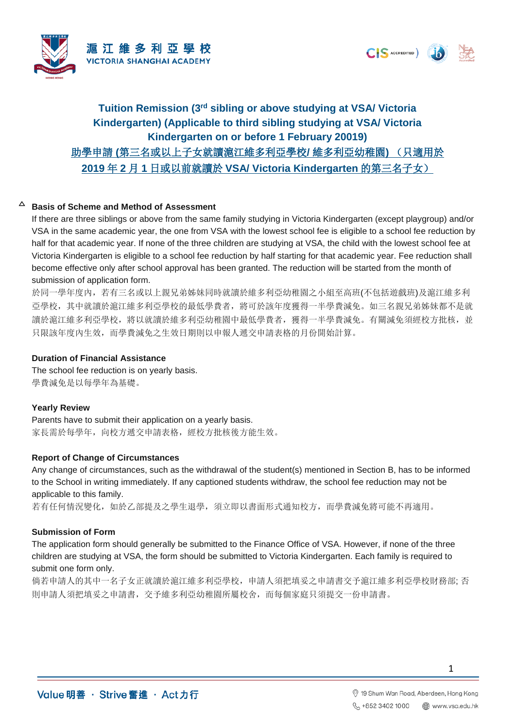



# **Tuition Remission (3rd sibling or above studying at VSA/ Victoria Kindergarten) (Applicable to third sibling studying at VSA/ Victoria Kindergarten on or before 1 February 20019)** 助學申請 **(**第三名或以上子女就讀滬江維多利亞學校**/** 維多利亞幼稚園**)** (只適用於 **2019** 年 **2** 月 **1** 日或以前就讀於 **VSA/ Victoria Kindergarten** 的第三名子女)

#### $\Delta$ **Basis of Scheme and Method of Assessment**

If there are three siblings or above from the same family studying in Victoria Kindergarten (except playgroup) and/or VSA in the same academic year, the one from VSA with the lowest school fee is eligible to a school fee reduction by half for that academic year. If none of the three children are studying at VSA, the child with the lowest school fee at Victoria Kindergarten is eligible to a school fee reduction by half starting for that academic year. Fee reduction shall become effective only after school approval has been granted. The reduction will be started from the month of submission of application form.

於同一學年度內,若有三名或以上親兄弟姊妹同時就讀於維多利亞幼稚園之小組至高班(不包括遊戲班)及滬江維多利 亞學校,其中就讀於滬江維多利亞學校的最低學費者,將可於該年度獲得一半學費減免。如三名親兄弟姊妹都不是就 讀於滬江維多利亞學校,將以就讀於維多利亞幼稚園中最低學費者,獲得一半學費減免。有關減免須經校方批核,並 只限該年度內生效,而學費減免之生效日期則以申報人遞交申請表格的月份開始計算。

#### **Duration of Financial Assistance**

The school fee reduction is on yearly basis. 學費減免是以每學年為基礎。

#### **Yearly Review**

Parents have to submit their application on a yearly basis. 家長需於每學年,向校方遞交申請表格,經校方批核後方能生效。

#### **Report of Change of Circumstances**

Any change of circumstances, such as the withdrawal of the student(s) mentioned in Section B, has to be informed to the School in writing immediately. If any captioned students withdraw, the school fee reduction may not be applicable to this family.

若有任何情況變化,如於乙部提及之學生退學,須立即以書面形式通知校方,而學費減免將可能不再適用。

#### **Submission of Form**

The application form should generally be submitted to the Finance Office of VSA. However, if none of the three children are studying at VSA, the form should be submitted to Victoria Kindergarten. Each family is required to submit one form only.

倘若申請人的其中一名子女正就讀於滬江維多利亞學校,申請人須把填妥之申請書交予滬江維多利亞學校財務部; 否 則申請人須把填妥之申請書,交予維多利亞幼稚園所屬校舍,而每個家庭只須提交一份申請書。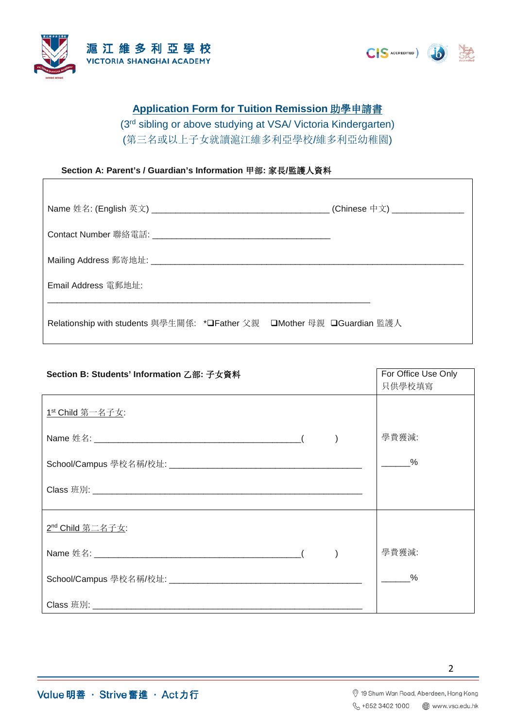



## **Application Form for Tuition Remission** 助學申請書

(3rd sibling or above studying at VSA/ Victoria Kindergarten) (第三名或以上子女就讀滬江維多利亞學校/維多利亞幼稚園)

#### **Section A: Parent's / Guardian's Information** 甲部**:** 家長**/**監護人資料

|                                                                        | (Chinese 中文) ________________ |
|------------------------------------------------------------------------|-------------------------------|
|                                                                        |                               |
|                                                                        |                               |
| Email Address 電郵地址:                                                    |                               |
| Relationship with students 與學生關係: *❑Father 父親 □Mother 母親 □Guardian 監護人 |                               |

| Section B: Students' Information 乙部: 子女資料 | For Office Use Only         |
|-------------------------------------------|-----------------------------|
| 1st Child 第一名子女:                          | 只供學校填寫<br>學費獲減:<br>$\sim$ % |
|                                           |                             |
| <u>2<sup>nd</sup> Child 第二名子女:</u>        |                             |
|                                           | 學費獲減:                       |
|                                           | $\frac{9}{6}$               |
|                                           |                             |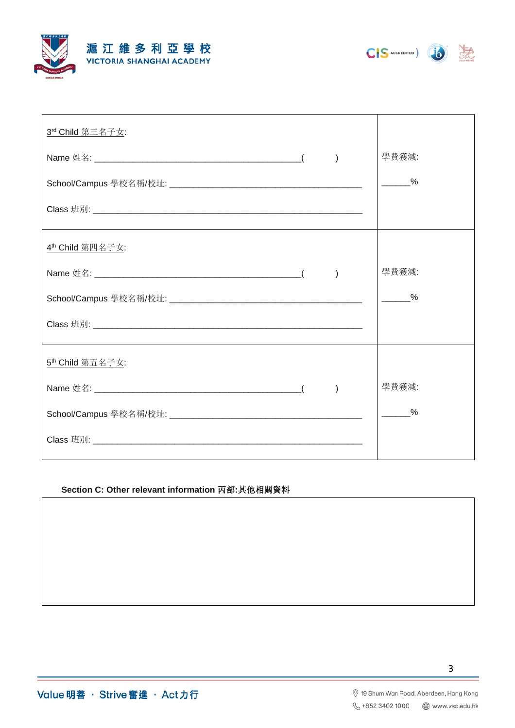





| 3rd Child 第三名子女:             |               |
|------------------------------|---------------|
|                              | 學費獲減:         |
|                              | $\frac{9}{6}$ |
|                              |               |
| 4 <sup>th</sup> Child 第四名子女: |               |
|                              | 學費獲減:         |
|                              | $\sim$ %      |
|                              |               |
| 5 <sup>th</sup> Child 第五名子女: |               |
|                              | 學費獲減:         |
|                              | $\frac{9}{6}$ |
|                              |               |

### Section C: Other relevant information 丙部:其他相關資料